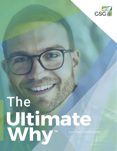

# WHY CULTURE CURRICULUM The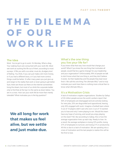#### PART ONE: **THEORY**

# **T H E D I L E M M A O F O U R WORK LIFE**

#### The Idea

Work. You've got to go to work. It's Monday. What a drag. Your waking hours are consumed with your work life. Most see work as sucking the life out of them, according to most surveys. It fills you with a so-what, must-do, drudgery kind of feeling. You think, if you can just make a bit more money, or if you had a different boss, or if you had more control, things could be better. Or after many years you just give up and resign to the reality that work is never going to get better. Sure, there are those out there on the internet somewhere living the dream, but most of us climb the corporate ladder only to find that at the top it is the same as down below. You are in a crisis. How can your work life be more than merely tolerable? What motivates you is the big question?

### **We all long for work that makes us feel alive, but we settle and just make due.**

#### What's the one thing you live your life for?

If you knew what that was, how would that change your world? What if you knew the one thing that motivates all people, would that be a game-changer for your leadership and your organization? Unfortunately, 99% of people we talk to don't know what that one thing is, and they don't believe it exists. So their leadership and the people they lead never find it. We call this one thing The Ultimate Why™ and to truly motivate your work lives there is nothing more critical then to know what Ultimate Why is.

#### It's a Motivation Crisis

A lack of motivation cripples organizations. Studies by Gallup of 30 million people across the world, workers report that 50% of employees are disengaged and are actively looking for new jobs; 20% are disgruntled and oppositional, leaving only 30% engaged with work. Imagine a football team where 5 out of 10 players didn't care who won 2 out of 10 wanted you to lose and only 3 were playing to win. Would this team have any hope of winning, and would you enjoy playing on this team? NO. But according to Gallup, this is how the average organization lines up each day. Ready to lose. As a result, the average workplace is losing 22% profits, losing 37% of employees to turnover, and losing 21% in productivity. All this is due to a lack of motivation. We are spiraling into a crisis of motivation and the last people to realize this will be the first to lose.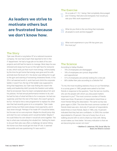### **As leaders we strive to motivate others but are frustrated because we don't know how.**

#### The Exercise

On a scale of 1-10, 1 being I feel completely discouraged and 10 being I feel alive and energized, how would you rate your life's work experience?

What do you think is the one thing that motivates .<br>all people to work and be engaged?

What work experience in your life has given you the most joy?

#### The Story

Tyler was 38 and a rung below VP at a national insurance company. He now had a team that reported to him in the IT department. He had a huge pile on his desk of his own projects and still had his teams to manage. Most days he was stressed and angry but he put on the right face for everyone to see, which took just that much more energy. Unfortunately by the time he got home that energy was gone and his wife and kids bore the brunt of it. His doctor was telling him to get to the gym and warning of worsening cholesterol levels. In his 20's it all seemed worth it, work hard and climb the corporate ladder, it wasn't fun, the top of the ladder was supposed to bring that happiness, but Tyler was finding this wasn't the reality and leadership didn't provide the freedom and safety that he envisioned. Now his team complained about him and his policies. He had annual performance reviews to do, and he had his lists of what he'd like to fix in everyone. He had one superstar, and then the rest of the team, this wasn't going to be fun. He had to hire a new programmer to replace his other star that had recently gone on to a competitor. Tyler made good money, but there were always more payments, and it was never enough. Perhaps if he made VP it would be better, but he was not so sure anymore. Maybe he should jump ship and start his own company and it would be better. Maybe if he could follow his own dream it would all come together. The key to what was motivating him eluded him. Getting his team to do just their jobs was often a challenge, let alone hitting the home-runs that would get him that VP slot. It seemed impossible and was questioning if it was worth it.

#### The Science

According to Gallup Studies:

- 70% of employees are disengaged
- 18% of employees are cynical, disgruntled and oppositional
- 51% of employees are actively looking for a new job
- 80% dislike their jobs according to a Deloitte Poll

"To me, the most troubling statistics focus on our friendships. In a survey given in 1985, people were asked to list their friends in response to the question, "Over the last six months, who are the people with whom you discussed matters important to you?" The most common number of friends listed was three; 59 percent of respondents listed three or more friends fitting this description. The same survey was given again in 2004. This time the most common number of friends listed was zero. And only 37 percent of respondents listed three or more friends. Back in 1985, only 10 percent indicated that they had zero confidants. In 2004, this number skyrocketed to 25 percent. One out of every four of us is walking around with no one to share our lives with. Being social makes our lives better. Yet every indication is that we are becoming less social, not more."

> *― Matthew D. Lieberman, PhD, Social: Why Our Brains Are Wired to Connect*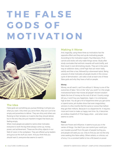# **T H E F A L S E G O D S O F MOTIVATION**



#### The Idea

False gods are something you pursue thinking it will give you what you want. Only when you serve them, they turn out to be empty and powerless to deliver. They are shiny and others are flocking to their temples so it seems like they should deliver, but in the end, they are just impotent images that leave you feeling empty.

When most people are asked to name what motivates everyone to work the big three always come up, money, power, and achievement. These are the shiny objects in our field of vision in the workplace. They are offered up by leaders and gurus as the stuff you want. And you think that you should want it, everyone else seems to want it.

#### Making it Worse

And, tragically, using these three as motivators has the opposite effect and they end up de-motivating people. According to the motivation expert, Paul Marciano, Ph.D. carrots and sticks will only make things worse. Study after study concludes that extrinsic rewards will work briefly, and then result in ever-diminishing results. They act in the same way an addiction does, a brief high that can never really satisfy and then a low, followed by a downward spiral. Being unaware of what motivates all people results in this vicious cycle of demotivation. Let's take a look at each one of these false gods and why they have a hold on people.

#### Money

Money, we all need it, can't live without it. Money is one of the outcomes of labor. Yet is it the "why" you work? Is it the single motivational factor that moves all people? Ancient wisdom labels the love of money as the root of all evil. Country songs tell you, it won't buy you happiness. Again, it is a temporary high at best. You do get a hit of dopamine when you get some or spend some, yet studies show that even mega-lottery winners in a few months feel the same or worse than before they got their millions. Because it is a dopamine hit. It requires more and more to make us happy next time. So, it becomes an endless treadmill of I'll be happy when... and when never seems to come.

#### Power

Next are Power and Influence. It seems to put you in the center of things. You feel if you can control your world you can insulate yourself from the pain of people hurting you, and people will seek you out. Only to find you are not the only ones seeking this false safety. Others attack, or criticize, out of envy. It is a constant battle to live a life based on power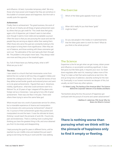and influence. At best, it provides temporary relief. We envy those who have power and imagine that they are somehow in this bubble of constant peace and happiness. But the truth is usually quite the opposite.

#### Achievement

Finally, there is achievement. The great business, the work of art, the act of charity are all things of great achievement seen by others that you get credit for. This credit does feel good, again a hit of dopamine, yet it doesn't seem to last either, even though it seems more noble and acceptable a pursuit. Often the issue is that you are pursuing the cause and see the people they are serving as objects rather than seeing them. Often those who serve this god are constantly looking to the next project to bring them more significance. Often they are out of balance, and those working with these visionaries get worn out. The adrenaline of the next task pulls them through life. The problem is the project never lasts. They always need one more and they jump on the treadmill again.

So, if all of these leave you feeling empty, what is left? What are you to do?

#### The story

I was raised in a church that had missionaries come from behind the iron curtain to tell how they smuggled in bibles and started the underground church. They would tell stories of how they defied armed border guards and endured prison and went on to do great achievements. I figured that was it. Adventure, nobility, significance...what else could someone want for a lifetime? So, at 20 years of age I stepped off the plane onto foreign soil as a missionary. I was going to live a life of great achievement. There was one flaw in the plan. There were others there trying to serve this same false god.

What ensued was not a work of passionate service for others, but a miserable experience of shame and manipulation by my bosses who were pursuing "achievement" ahead of me. In pursuit of their achievement goals they pushed and manipulated me and the team. It was the ultimate let down, thinking I would reach the pinnacle of work life. I found only pain and brokenness. There is nothing more crushing than thinking you have the greatest thing in life, and once obtained you find it to be empty and disappointing.

I kept pursuing this goal for years in different forms, until he reached my own midlife crisis and realized this just wasn't going to ever bring me the joy in work and life I was seeking.

#### The Exercise

Which of the false gods appeals most to you?

When did it really hit you that these "gods" 2<sup>White</sup> be false?

Do you see people in the media or in advertisements that the false gods seem to work for them? What do you think is the whole picture?

#### The Science

Dopamine is the hit we get when we get money, obtain power and influence, or accomplish something significant. It does feel good, but like false gods, it requires your soul. Our brain down-regulates after each hit, meaning it takes more of the "drug" to make us feel that same euphoria as last time. We end up living lives of addiction, slavishly working for the next hit. Eventually, in our honest moments we despair of this, but usually, we don't have any other options.

*― Dr. Robert Lustig, The Hacking of the American Mind: The Science Behind the Corporate Takeover of Our Bodies and Brains*

"Somewhere along the line, the pursuit of happiness got confused with the pursuit of income and career advancement."

> *― Matthew D. Lieberman, PhD, Social: Why Our Brains Are Wired to Connect*

**There is nothing worse than pursuing what we think will be the pinnacle of happiness only to find it empty or fleeting.**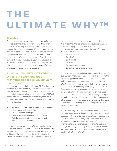## **T H E ULTIMATE WHY™**

#### The Idea

Our hearts aren't stupid. When they are served up false gods for motivation they know that there is something inherently off with it. That is why when Gallup takes surveys so many respond that they are disengaged. It's not because they are bad or lazy people. It's just the culture, advertising, and our education that can't see beyond the false gods of motivation to the Ultimate Why that motivates us all. So really these surveys show you how in tune to yourselves you really are. You know you haven't found what we are looking for. This is why understanding the Ultimate Why™ is critical for everyone and especially leaders of any organization.

#### So What is The ULTIMATE WHY™ ? What is the one thing that motivates all people? You actually already know.

When we ask people what the Ultimate Why™ is they try to answer it with their "left brain," and they cannot come up with the answer, they say "I don't know" or something like money. But when you reframe the question nearly 100% of people answer it correctly and immediately, because this reframed question appeals to the right brain. It is called the Eternity Question:

#### What is the one thing you could live with for all Eternity?

- 1. Money alone and nothing else?
- 2. Power alone and nothing else?
- 3. Great achievements alone and nothing else?
- 4. Or to be surrounded by people who love and care for you for all eternity?

Nearly everyone we ask answers "people who love and care for me" And that's it...Loving Connection is the Ultimate Why™. It is the one thing that people want more than anything else in this world. Loving connection is the Ultimate Why, the ultimate motivation behind all we do. Everyone knows in

their gut it's true because they have experienced it in life. And in fact, the other options are ridiculous in comparison. What is more, psychologists and researchers confirm this conclusion that loving connection is the base of human motivation: Studies by

- Dr. Sue Johnson
- Dr. Allen Schore
- Dr. Jim Wilder
- Dr. Jim Loehr
- Dr. Matthew Lieberman
- Dr. Barbra Fredrickson and more.

In one study where researchers followed Harvard Grads for over 80 years, the longest study of its kind. The one thing that made the biggest difference in outcomes for health, wealth, wellness and happiness was loving connection, the Ultimate Why. Our gut and researchers agree that we are created for connection, we are inherently social beings. Our social brain (right brain) is the most influential part of our brain it Knows the Ultimate Why is the one motivator. The brain releases serotonin and other neurotransmitters that bring a feeling of joy and contentment when we experience loving connection. Other pleasures make us happy for a moment but then leave us unsatisfied and wanting ever-increasing rewards to feel even slightly motivated.

The Ultimate Why™ of loving connection motivates us to do the biggest and greatest things in our lives, and we feel good about doing it. This isn't a hippie, romantic, or infatuated kind of love. It's a dedicated love–getting up with kids at 3 a.m., staying late to keep a promise to a client, firefighters running into the fire to save a stranger, calming an irate customer, taking a bullet for your country, working 40 years to support kids and grandkids. This kind of love motivates and sustains us all. It is the Ultimate Why™.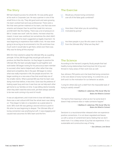#### The Story

Bill had chased success his whole life. He was pretty good at his work in Corporate Law. He was a partner in one of the small firms in his city. They did good work and were growing. His team worked hard and was professional. There were a few that were partner material on his team, one that was even smarter and sharper than he and that made him nervous, and Bill didn't like this feeling. There was a lot of pressure on Bill to "create new work" with his clients. He knew what this meant, it never was unethical, but sometimes the client didn't really need what his team suggested as legally important. He was beginning to experience that midlife crisis. He was never going to be as big as he envisioned in his 20s and knew how much work it would take to get there, where ever there was. Why was he doing all this anyway?

Bill's firm then started to adopt the Ultimate Why as a guiding principle. At first, Bill thought they would get soft and not produce, but liked the direction. As they began to practice the Ultimate Why the team actually began to pull together and work better. Bill began rooting for his precocious team member to succeed; other teams helped each other rather than stay siloed and competitive, like in the past. Bill began to notice what was really important in life, the people around him. He began working on a new area of law that would help one of his smaller clients. What surprised Bill was that his team was doing more than before, in less time. Gone was the pretense of looking super busy and now it was how can we help each other get home to our families on time. It was telling clients honestly when they didn't need the extra work, yet there always seemed to be new work coming in by word of mouth.

It was an adjustment, and it took time to lose old habits, but there was a real cultural shift that the whole team was taking on. They began to take on a reputation as a great place to work. Bill's work life was getting a second wind at a point in life when he was beginning to despair. The Ultimate Why of loving connection was anything but soft. It was engaging and caused real outcomes for Bill's team and the firm.

#### The Exercise

Would you choose loving connection over all of the false gods combined?

How does it feel when you do something 2 motivated by giving?

Are there people in your life who seem to live life from the Ultimate Why? What are they like?

#### The Science

According to the Harvard Longevity Study people that had healthy loving relationships lived long lives full of joy and thrived in many areas of their work lives as well.

Sue Johnson, PhD points out in her book that loving connection is the core desire of every human being. It is wired into us at birth and it is the motivation for our behavior as adults.

"Living for others [is] such a relief from the impossible task of trying to satisfy oneself."

> *― Matthew D. Lieberman, PhD, Social: Why Our Brains Are Wired to Connect*

"It's hard to find meaning in what we do if at some level it doesn't help someone else or make someone happier."

> *― Matthew D. Lieberman, PhD, Social: Why Our Brains Are Wired to Connect*

Serotonin is a neurotransmitter released when we experience positive connections. It is not down-regulated and leaves us with a sense of contentment land a feeling that we don't need more. It is a deep sense of joy that we experience. It is a sustainable and constructive way of living.

*― Sue Johnson, Love Sense*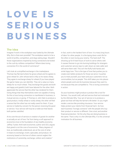# **L O V E I S S E R I O U S BUSINESS**

#### The Idea

Imagine if work in the workplace was fueled by the Ultimate Why. But is that even possible? The workplace seems to be a world of profits, competition, and dogs eating dogs. Wouldn't those organizations inspired by loving connections be kicked to the curb by ruthless competition? Where does loving connection fit in the world of commerce?

Let's look at a simplified exchange in the marketplace. Thomas has flat land where he grows wheat and he agrees to grow wheat for John whose land is hilly so he raises sheep. They agree to exchange sheep for wheat (if you have played the game Catan you can identify). They set a value so many sheep for so much wheat. They exchange the goods and both are happy and grateful, both have labored for the other. Both appreciate the service that the other has rendered for them. Doing things that they themselves were not capable of doing. So this is how loving connection is manifested in business, in mutual service, or giving. If Thomas or John fails to produce a good product, moldy wheat or sickly sheep, the other will feel a sense that the other has not really cared for them. If your service is fueled by concern for the person receiving the good or service. Your service will truly be a noble act that leaves both parties satisfied.

At its core the act of service or creation of goods for another is actually an act of love. Far from being a soft approach to economics love is the foundation of any healthy economy. Jeffrey Tucker, think tank economist, author and CEO, argues that greed is not the core of economics. "Many degrees of love, as traditionally understood, are at the core of what it means to exchange, invent, speculate, and produce. An economy based on the love of others cannot neglect the institutions of ownership, exchange, volition and creation."

In fact, work is the hardest form of love. It is many long hours of labor for other people. It is the laying down one's life for the other or even loving your enemy. The hard stuff. The showing up for 8 hard hours of work to serve others well. It causes firemen to go into burning buildings for strangers and customer service reps to calm down an irate caller and still serve them well. This isn't the fluffy hold hands and smile hippy love. This is the type of love that pushes you to create even better products for those we serve. It pushes you to treat yourself, your team and your customers not as commodities, but as people. This shift takes you into places where people work and do business because they want to, not because they are compelled to. This is loving connection in action.

So your business might produce a product like a tool for farmers. You would craft, sell and service that tool motivated by the Ultimate Why. Your act of service is to produce a great tool that will help the farmer's life better. Or you might render a service like providing insurance. Your service helps protect your clients from financial harm. So how each business "lovingly connects" with the people who buy their product or service is different. One a tool, and another financial protection. Yet the why they are doing business is the same. That is why it is the Ultimate Why. It is the universal motivation for all business.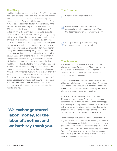#### The Story

I had just checked my bags at the desk at 5am. The desk clerk was bleary-eyed and perfunctory. He did his job, with minimal eye contact and curt to the point questions and my bags were on the plane. There was little human connection. A few minutes later I was in line behind an immigrant family in the TSA line. The mom was flying with two little children. And the TSA agent, I noticed, was engaging and kind, very real. She looked directly at the mom with kindness and explained to her about a special line she could go in to get through quickly with her two children. She checked her papers and sent them on with a smile. She proceeded to treat me the same way, not in a sappy kind of pasted on happiness, but an "I am glad that you are here and I am happy to serve you" kind of way. I was beyond impressed. Government workers make no more money for their government by doing their work with loving connection. But this agent certainly found it within herself to do so. It made a difference to me and the immigrant family. I thought about how the TSA agent must have felt, and as a fellow human, I could empathize that working like that would feel good. I contrasted that with how the bag checkers likely felt. They felt low energy they felt theirs was just a job, customers were a burden, life was a drag, especially at 5am. It was a contrast that has stuck with me to this day. The "why" we work affects our own lives as well as those around us. Those who show up with the Ultimate Why as their motivation can do just about anything and find meaning and life's energy in it. Those who show up with the "what's in this for me" attitude make work misery for themselves and those they work for and with.

### **We exchange stored labor, money, for the labor of another, and we both say thank you.**

#### The Exercise

When do you feel the best at work?

How do you feel when a co-worker, client or customer is even slightly upset with you? Does this disconnection overshadow your whole day?

When you genuinely give and serve, do you feel that you get back more than you give?

#### The Science

The Drucker Institute has done extensive studies into what drives successful companies. They all have very high ratings of employee engagement. Meaning they have cultures that value their people and value their customers in loving exchanges.

Sociopaths are people without conscience, they can act without any relational empathy toward others. Sociopaths will win at all costs, without regard for others. There is no loving connection. If a business is powered by this force of winning at all costs, it would be sociopathic.

Martha Stout Ph.D. in her book *The Sociopath Next Door, The ruthless vs. the rest of us*. Shows that those without conscience are generally unsuccessful, bitter and unhappy. They are not particularly good at business, because all their lack of love drives them to destruction rather than creative endeavors. She goes on to say that it is loving connection that fuels successful happy living in all areas of life.

Daron Acemoglu and James A. Robinson, the authors of *Why Nations Fail: The Origins of Power, Prosperity, and Poverty*, suggest that economies that give freedom to their people to give and receive freely are the economies and nations that succeed. Communism and Dictators ultimately fail as these forces don't allow us to freely give and thrive as humans. The ability to give freely is the basis of loving connection when we give freely to those around us.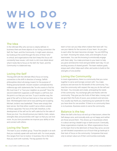## **W H O D O WE LOVE?**

#### The Idea

In the Ultimate Why who we love is clearly defined. In business there are three objects of our loving connection: the Self, the Team, and the Community. It might seem obvious, but looking at the world through this lens of three "who" is critical, and organizations that don't keep this focus will constantly have issues. Let's look in a bit more detail about what it looks like to focus on the Self, the Team, and the Community in a balanced way.

#### Loving the Self

The big shift with the Ultimate Why's focus on loving connection is the shift in direction of energy. Selfish philosophies direct all energy inward, for the purpose of finding personal benefit. Ancient wisdom contradicted this millennia ago with statements like "he who wants to find his life must lose it" or "love your neighbor as yourself." Now the second statement supposes a self-respect, a self-love, but the point is so that you can love. To put it another way, the goal of the self is to find our best serve or how we love the best. Michelangelo's best serve was painting and sculpting. Michael Jordan's was basketball. These were simply their best serves. Not that either couldn't serve others outside of these capacities The love of the Self, therefore, is the development of the self not for self's sake but for the sake of those you love. You should pursue your talents, traits, values, strengths likes and proclivities with vigor so that you can love more. As you love yourselves we improve your ability to love and connect with others.

#### Loving the Team

The team is your smallest group. Those few people in at work that you routinely speak with and work with. For most people, this ranges from two to twelve. In business, this is the team that you work with routinely. The big question for the

team is how can you help others realize their best self. You use your talents for the success of your team. As you give to each other the team becomes stronger. You are KEEPing our team. Knowing the values, traits, and strengths of your teammates. You use this knowing to emotionally engage with them daily. You make promises to your team to help you grow and become more and give better each day. It is an exciting process of shared growth. The team realizes goals, enjoys each other, helps each other, and works to build on the strengths of one another.

#### Loving the Community

In most organizations, there is a community that you come together to serve and lovingly connect with. You make products and services for the benefit of the community. You treat the community with respect the way you do the self and the team. You innovate and create, anticipating the needs of the community. You exchange gifts and thanks with the community. They give you the fruits of their labor, money, and we give them the fruits of yours, your products and services. You usually say thank you, expressing your gratitude for what you have done for one another. If there is no community there is no business. Business exists to serve the community.

#### Balance is the key

When the Self is the focus we end up in Narcissism, where the Self always wins, and ironically ends up not happy and neither are those around them. This shows up in businesses where it is about serving a leader's ego or bank account. Eventually, these organizations implode, too. When organizations focus on the team first to the detriment of those they serve, we end up with bloated corporations out of touch that go bankrupt in their lack of focus on the community. Companies that exist only to extract value out of their communities eventually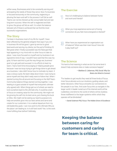wither away. Businesses exist to be constantly serving and anticipating the needs of those they serve. Now if a business is focused exclusively on the community, neglecting or abusing the team and self in the process it will fail as well. Teams can not be chewed up like consumable fuel and see long-term success. When the self is neglected and fails to grow, the group will fail as well. It is when the balance between all of these is achieved that we find the most successful organizations.

#### The Story

I've been in business most of my life for myself. I have been affected by the general zeitgeist that says if you win in business life will be good. I gave lip service to good teamwork and serving my clients, but the pull of thinking I'd feel great when I finally succeeded was the false god that kept appearing in my mind with no other focus to take its place. I was more focused on myself and my business in an egocentric kind of way. I wouldn't have said that this was my goal, I'd have said this is just the way things are, business' goal is to get paid and succeed. In my efforts to lead my team, I had a hard time encouraging or helping people grow because I was too busy trying to get things done to get ahead as a business. I also didn't know how to motivate my team. It was a vicious cycle, the team deep down knew I was trying to serve myself and they didn't really want to follow that. When I started turning this all around and focusing on the Self-Team-Community balance things started coming together. I was leading to a goal outside of myself that everyone's ultimate why agreed with. When things get out of whack we need to tune ourselves back to the ultimate why. It could be a lack of focus on creating value for the community. We might not be growing the self into its best serve, just chasing the buck or titles. We might not be seeing our team's purpose is to help one another grow into our best selves and serve and create for our customers. It is a radical departure from my old leadership goals. I can now point to the Ultimate Why as the place I am leading to. Is it still hard work? Yes. Is the work more fulfilling than before? Definitely.

#### The Exercise

How is it challenging to balance between home and work and friends?

When you truly experience some sort of loving **Connection do you feel more energized or drained?** 

When have you experienced an organization out of balance? What was their main focus? How did it play itself out?

#### The Science

"It's hard to find meaning in what we do if at some level it doesn't help someone else or make someone happier."

> *― Matthew D. Lieberman, PhD, Social: Why Our Brains Are Wired to Connect*

"For leaders to get results they need all three kinds of focus. Inner focus attunes us to our intuitions, guiding values, and better decisions. Other focus smooths our connections to the people in our lives. And outer focus lets us navigate in the larger world. A leader tuned out of his internal world will be rudderless; one blind to the world of others will be clueless; those indifferent to the larger systems within which they operate will be blindsided."

*― Daniel Goleman PhD, Focus: The Hidden Driver of Excellence*

**Keeping the balance between caring for customers and caring for team is critical.**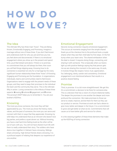# **H O W D O WE LOVE?**

#### The Idea

The Ultimate Why has three main "hows". They are Being Known, Emotionally Engaging, and Promising. Imagine a marriage without one of these three. If you don't feel known and understood, both for who you are and how you live, you feel alone and disconnected. If there is no emotional engagement where you show up in the present and spend time, you'd feel distant and alone. If there is no promise, no commitment that you will always be there, then soon you will feel things slipping away. Knowing how to do connection is essential not only for a marriage but for every significant human relationship these three "hows" of Knowing Engaging and Promising are the foundation. In organizations individuals, teams and communities need to feel known. Organizations need to engage with the present needs of these groups, and they need to keep their promises to the individual the team and the community they serve. This is the Ultimate Why in action. Loving connection is the trifecta of these three aspects: **K**nowing, **E**motional **E**ngagement, and **P**romise. The acronym KEEP helps you to remember it. You are your brother's KEEPers.

#### Knowing

The more you know someone, the more they will feel appreciated by you. The more you know the history, traits, values, and the past of someone, the more you can serve and connect with them in ways that they appreciate. Knowing my wife helps me understand that as an introvert she doesn't love big parties, and prefers a quiet dinner out. Without knowing, you have a real hard time feeling loved as the other will be out of sync with you. You will not have shared much life with them to really understand their story. The soldiers who have done a tour together in Vietnam have a knowing. Siblings share a knowing. High School friends share a knowing. It is a profound aspect of relating that deepens our experience of one another.

#### Emotional Engagement

Second, loving connection requires emotional engagement. This occurs at moments ranging from the simple shared thank you at the checkout line to the profound look a couple shares when they see their child take his first steps. Or the fist bump when your team wins. The shared exhilaration when the deal is closed. It requires doing things, connecting, and sharing it with someone. This is basically when our brains light up with positive feelings saying hey that person gets me we are sharing this moment in the same way. At work, it involves things like respect, honor, trust, appreciation, fun, belonging, clarity, candor and consistency. Emotional engagement is an intentional behavior that results in a positive shared feeling.

#### Promise

Third, is promise. It is a bit more straightforward. We get this. It's a commitment, a decision to be there for someone else. This is a decision that has a vision of a future relational reality. The deeper the promises to one another the deeper and more profound the connection. We make promises to those we serve to create, improve, and be there for them as they use our product or service. Promises at work can fuel a desire to give more, better and deeper in the future. It is a commitment to grow and get better at what we do. Commitments that will cause us to have better gifts and service for others.

It is the weaving together of these three elements that make up the KEEPing of loving connection.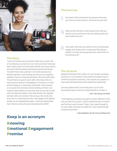

#### The Story

I have two friends and we call each other every month. One of my friends sat across from me in the lunchroom freshman year in high school, and we've been friends ever since, and we survived a 50/50 business partnership and are still friends. The other friend was a partner in the same business too. My kids call them uncle and they all came to my daughter's wedding. There is a long shared history. We know each other. The promises we gave to each other were deep when we were business partners. We pledged our finances, our work, and life energy to a commonly owned task. That business is now gone and promises are less binding, yet there is an implicit understanding our promises that we can call on each other for help and support, we're deep friends. We regularly call each other and connect. We can say a few words and know that it is shared by the other. We engage in life together though we are separated by states. These are relationships that I cherish and yes they are characterized by KEEP.

#### The Exercise

How does it feel to be known by someone who knew you since you were young vs. someone you just met?

- What would it feel like to have a parent who sent you checks so you could survive but was always gone and never talked with you?
- How does it feel when you take the time to emotionally engage with people even in small ways like looking a cashier in the eye and saying thank you, rather than not connecting at all?

#### The Science

Barbara Fredrickson PhD., author of *Love 2.0* calls it positivity resonance. It is a moment in time where two people share a moment of positive connection. This requires two people in a brain state that Allan Schore PhD called inter-subjectivity.

"So many believe that it is love that grows, but it is the knowing that grows and love simply expands to contain it."

#### *― Wm. Paul Young, The Shack*

"I feel keeping a promise to yourself is a direct reflection of the love you have for yourself. I used to make promises to myself and find them easy to break. Today, I love myself enough to not only make a promise to myself, but I love myself enough to keep that promise"

*― Steve Maraboli, Life, the Truth, and Being Free*

### **Keep is an acronym Knowing Emotional Engagement Promise**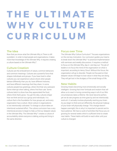# **T H E U L T I M AT E**  WHY CULTURE **CURRICULUM**

#### The Idea

Now that you know what the Ultimate Why is There is still a problem. In order to lead people and organizations, it takes more than knowledge of the Ultimate Why. It requires creating a culture based on the Ultimate Why™.

#### Culture Creation

Cultures are the embodiment of values, common behaviors and common meanings. Cultures are a powerful force that shapes individuals and groups. If you have lived in other cultures you can experience culture shock when people behave differently than you do, have different histories, and have different meanings that they share. In some cultures people kiss greetings, others find that very awkward. Some interrupt when talking, others find that rude. Some cultures belch to show how they appreciated the food, others think that's gross. You get the idea, cultures shape how we think and act as a group and individuals. It is culture that is the foundation for how groups act, and every organization has a culture. Most culture in organizations is not intentionally cultivated. To change a culture takes an intentional sustained effort. The culture curriculum has a very intentional process to begin to help us find our deepest values in the Ultimate Why. The Ultimate Why™ creates a culture of accountability where everyone is talking, acting and living in the same direction.

#### Focus over Time

The Ultimate Why Culture Curriculum™ focuses organizations on the one key motivation. Our curriculum guides your teams to break down the Ultimate Why™ to practical implementation with seminars and weekly discussions. It requires a method to focus on the Ultimate Why, day-in- and day-out. The job of leaders is to focus the mind of the organization on what is important, according to Henry Cloud. Without this focus, the organization will go to disorder. People not focused on their deepest values will begin to lose value in what they are doing. They will get lost in the drudgery of the small things of life.

#### New Habits

Growing means becoming more emotionally and socially intelligent. Growing that inner fortitude and wisdom that will allow us to react in loving connecting ways in all of our life's circumstances takes a lifetime. We never become perfect, yet we do see progress as time goes by and we intentionally work at it. It actually involves physically rewiring your brain. As you begin to think and act differently, the physical makeup of your brain will physically change. This change doesn't happen overnight, this is why it is important to persist and to have patience. We have a cycle of activities that focus you on growing for several weeks which is sufficient time to create new habits. These habits will build on each other until your culture is changed.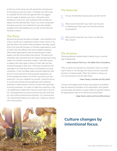In Part two of this book, you will unpack this amazing tool for focusing you and your team. It will take over half a year to complete the first time through and then we suggest you do it again to deepen your focus. Using this same workbook or one of our next workbooks that will take you deeper into the Ultimate Why. There is an online component that gives you even more material for your team leaders available at the UltimateWhy.com as well. So let's dive into creating a culture.

#### The Story

My personal journey has been a struggle. I have had both a lot of joy in my life and a significant amount of pain. Much of my pain has been in the arena of the workplace. Ironically, a good third of my work life has been in Christian organizations, most of which was very difficult with some notable exceptions. Often these organizations were serving the egos of their leaders, and the communities they served. The teams and individuals were sacrificed and not valued. My personal wiring makes me a thinker more than a relater. I was often drawn to leaders who had a goal or theory on their side, yet they missed the people in their lives. I think they missed the core message of our faith that the focus of Christianity is loving connection. In fact, the Bible makes the bold statement that all of its moral instruction, all its business regulations, all of the everyday life wisdom, all of life is summed up in one statement: Love your neighbor as yourself. Losing this focus in my life and business has brought pain and frustration. Somehow it seems easier to focus on some other goal than on loving connection. As I labor to make this correction in life, I am beginning to realize that I have all I want right in front of me. The people that surround me are the sources of life and joy. Life is about giving and serving them. It is a journey that I am intentionally setting out to grow into. I hope you will join me on this journey.

#### The Exercise

Are you intentionally trying to grow your best serve?

What would it look like if your team was focused on helping each other grow into the best versions of yourselves?

What would it look like if you lived in an Ultimate Why Culture?

#### The Science

"Directing attention toward where it needs to go is a primal task of leadership."

*― Daniel Goleman PhD, Focus: The Hidden Driver of Excellence*

"Why is culture so important to a business? Here is a simple way to frame it. The stronger the culture, the less corporate process a company needs. When the culture is strong, you can trust everyone to do the right thing."

*— Brian Chesky, co-founder and CEO, Airbnb*

"Culture is the deeper level of basic assumptions and beliefs that are shared by members of an organization, that operate unconsciously and define in a basic 'taken for granted' fashion an organization's view of its self and its environment."

*— Edgar Schein, Author and former MIT professor*



### **Culture changes by intentional focus.**